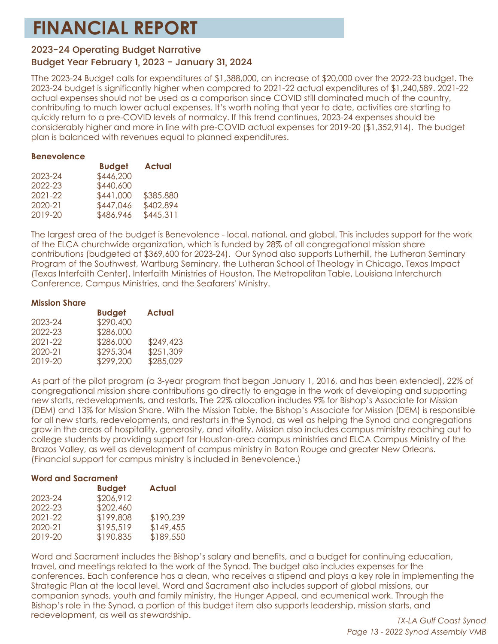# **FINANCIAL REPORT**

# 2023-24 Operating Budget Narrative

# Budget Year February 1, 2023 - January 31, 2024

TThe 2023-24 Budget calls for expenditures of \$1,388,000, an increase of \$20,000 over the 2022-23 budget. The 2023-24 budget is significantly higher when compared to 2021-22 actual expenditures of \$1,240,589. 2021-22 actual expenses should not be used as a comparison since COVID still dominated much of the country, contributing to much lower actual expenses. It's worth noting that year to date, activities are starting to quickly return to a pre-COVID levels of normalcy. If this trend continues, 2023-24 expenses should be considerably higher and more in line with pre-COVID actual expenses for 2019-20 (\$1,352,914). The budget plan is balanced with revenues equal to planned expenditures.

## **Benevolence**

|         | <b>Budget</b> | <b>Actual</b> |
|---------|---------------|---------------|
| 2023-24 | \$446,200     |               |
| 2022-23 | \$440,600     |               |
| 2021-22 | \$441,000     | \$385,880     |
| 2020-21 | \$447,046     | \$402,894     |
| 2019-20 | \$486,946     | \$445,311     |

The largest area of the budget is Benevolence - local, national, and global. This includes support for the work of the ELCA churchwide organization, which is funded by 28% of all congregational mission share contributions (budgeted at \$369,600 for 2023-24). Our Synod also supports Lutherhill, the Lutheran Seminary Program of the Southwest, Wartburg Seminary, the Lutheran School of Theology in Chicago, Texas Impact (Texas Interfaith Center), Interfaith Ministries of Houston, The Metropolitan Table, Louisiana Interchurch Conference, Campus Ministries, and the Seafarers' Ministry.

#### **Mission Share**

|         | <b>Budget</b> | <b>Actual</b> |
|---------|---------------|---------------|
| 2023-24 | \$290.400     |               |
| 2022-23 | \$286,000     |               |
| 2021-22 | \$286,000     | \$249,423     |
| 2020-21 | \$295,304     | \$251,309     |
| 2019-20 | \$299,200     | \$285,029     |

As part of the pilot program (a 3-year program that began January 1, 2016, and has been extended), 22% of congregational mission share contributions go directly to engage in the work of developing and supporting new starts, redevelopments, and restarts. The 22% allocation includes 9% for Bishop's Associate for Mission (DEM) and 13% for Mission Share. With the Mission Table, the Bishop's Associate for Mission (DEM) is responsible for all new starts, redevelopments, and restarts in the Synod, as well as helping the Synod and congregations grow in the areas of hospitality, generosity, and vitality. Mission also includes campus ministry reaching out to college students by providing support for Houston-area campus ministries and ELCA Campus Ministry of the Brazos Valley, as well as development of campus ministry in Baton Rouge and greater New Orleans. (Financial support for campus ministry is included in Benevolence.)

## **Word and Sacrament**

|         | <b>Budget</b> | <b>Actual</b> |
|---------|---------------|---------------|
| 2023-24 | \$206,912     |               |
| 2022-23 | \$202,460     |               |
| 2021-22 | \$199,808     | \$190,239     |
| 2020-21 | \$195,519     | \$149,455     |
| 2019-20 | \$190,835     | \$189,550     |

Word and Sacrament includes the Bishop's salary and benefits, and a budget for continuing education, travel, and meetings related to the work of the Synod. The budget also includes expenses for the conferences. Each conference has a dean, who receives a stipend and plays a key role in implementing the Strategic Plan at the local level. Word and Sacrament also includes support of global missions, our companion synods, youth and family ministry, the Hunger Appeal, and ecumenical work. Through the Bishop's role in the Synod, a portion of this budget item also supports leadership, mission starts, and redevelopment, as well as stewardship.

*TX-LA Gulf Coast Synod Page 13 - 2022 Synod Assembly VMB*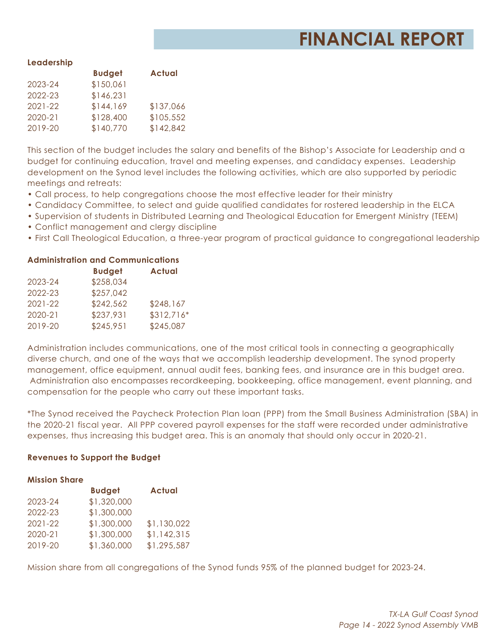# **FINANCIAL REPORT**

#### **Leadership**

|             | <b>Budget</b> | <b>Actual</b> |
|-------------|---------------|---------------|
| 2023-24     | \$150,061     |               |
| 2022-23     | \$146,231     |               |
| $2021 - 22$ | \$144,169     | \$137,066     |
| 2020-21     | \$128,400     | \$105,552     |
| 2019-20     | \$140,770     | \$142,842     |

This section of the budget includes the salary and benefits of the Bishop's Associate for Leadership and a budget for continuing education, travel and meeting expenses, and candidacy expenses. Leadership development on the Synod level includes the following activities, which are also supported by periodic meetings and retreats:

- Call process, to help congregations choose the most effective leader for their ministry
- Candidacy Committee, to select and guide qualified candidates for rostered leadership in the ELCA
- Supervision of students in Distributed Learning and Theological Education for Emergent Ministry (TEEM)
- Conflict management and clergy discipline
- First Call Theological Education, a three-year program of practical guidance to congregational leadership

## **Administration and Communications**

|             | <b>Budget</b> | <b>Actual</b> |
|-------------|---------------|---------------|
| 2023-24     | \$258,034     |               |
| 2022-23     | \$257,042     |               |
| $2021 - 22$ | \$242,562     | \$248,167     |
| 2020-21     | \$237,931     | $$312,716*$   |
| 2019-20     | \$245,951     | \$245,087     |

Administration includes communications, one of the most critical tools in connecting a geographically diverse church, and one of the ways that we accomplish leadership development. The synod property management, office equipment, annual audit fees, banking fees, and insurance are in this budget area. Administration also encompasses recordkeeping, bookkeeping, office management, event planning, and compensation for the people who carry out these important tasks.

\*The Synod received the Paycheck Protection Plan loan (PPP) from the Small Business Administration (SBA) in the 2020-21 fiscal year. All PPP covered payroll expenses for the staff were recorded under administrative expenses, thus increasing this budget area. This is an anomaly that should only occur in 2020-21.

## **Revenues to Support the Budget**

#### **Mission Share**

|             | <b>Budget</b> | <b>Actual</b> |
|-------------|---------------|---------------|
| 2023-24     | \$1,320,000   |               |
| 2022-23     | \$1,300,000   |               |
| $2021 - 22$ | \$1,300,000   | \$1,130,022   |
| 2020-21     | \$1,300,000   | \$1,142,315   |
| 2019-20     | \$1,360,000   | \$1,295,587   |

Mission share from all congregations of the Synod funds 95% of the planned budget for 2023-24.